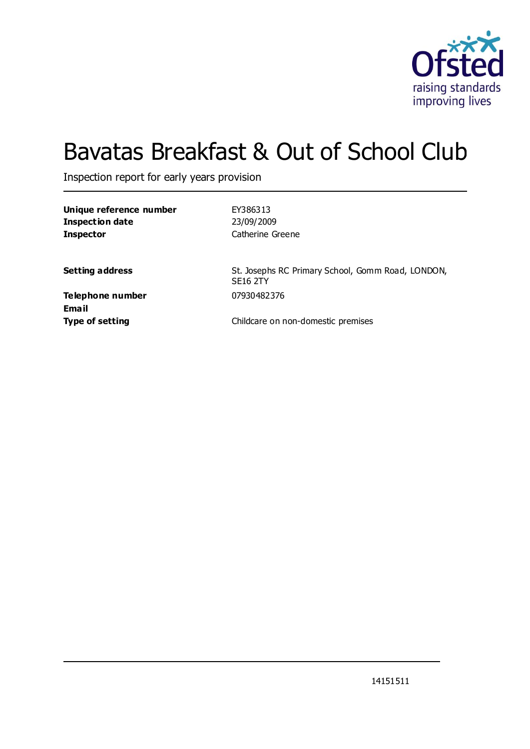

# Bavatas Breakfast & Out of School Club

Inspection report for early years provision

**Unique reference number** EY386313 **Inspection date** 23/09/2009 **Inspector** Catherine Greene

**Setting address** St. Josephs RC Primary School, Gomm Road, LONDON, SE16 2TY

**Telephone number** 07930482376 **Email**

**Type of setting** Childcare on non-domestic premises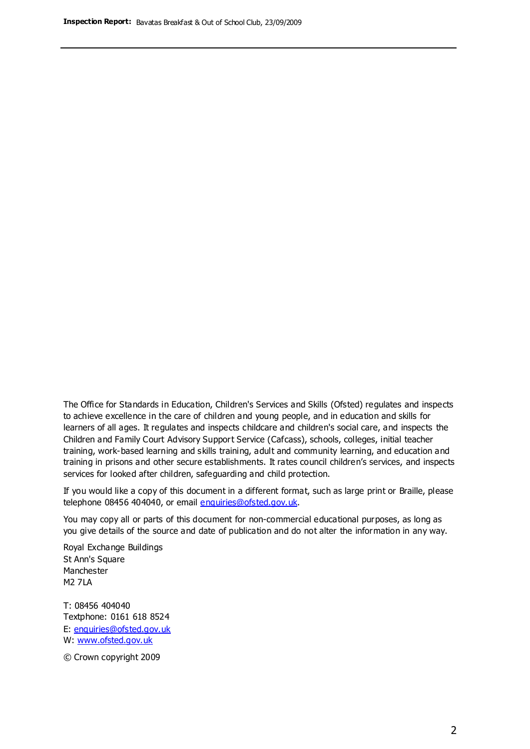The Office for Standards in Education, Children's Services and Skills (Ofsted) regulates and inspects to achieve excellence in the care of children and young people, and in education and skills for learners of all ages. It regulates and inspects childcare and children's social care, and inspects the Children and Family Court Advisory Support Service (Cafcass), schools, colleges, initial teacher training, work-based learning and skills training, adult and community learning, and education and training in prisons and other secure establishments. It rates council children's services, and inspects services for looked after children, safeguarding and child protection.

If you would like a copy of this document in a different format, such as large print or Braille, please telephone 08456 404040, or email enquiries@ofsted.gov.uk.

You may copy all or parts of this document for non-commercial educational purposes, as long as you give details of the source and date of publication and do not alter the information in any way.

Royal Exchange Buildings St Ann's Square Manchester M2 7LA

T: 08456 404040 Textphone: 0161 618 8524 E: enquiries@ofsted.gov.uk W: [www.ofsted.gov.uk](http://www.ofsted.gov.uk/)

© Crown copyright 2009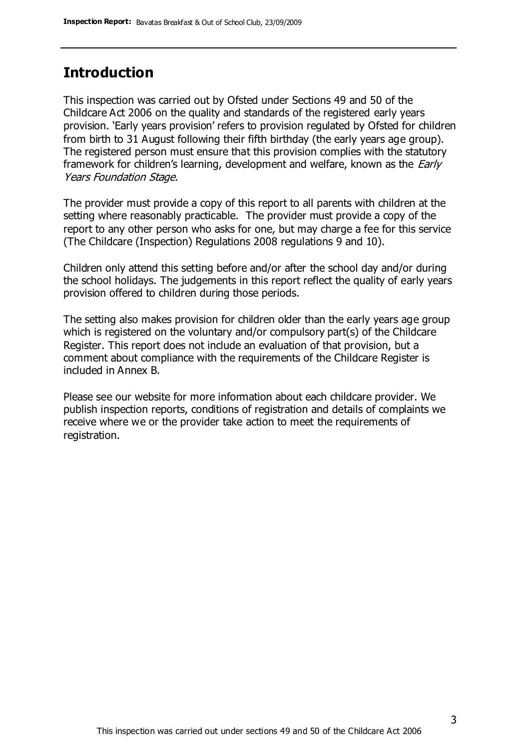#### **Introduction**

This inspection was carried out by Ofsted under Sections 49 and 50 of the Childcare Act 2006 on the quality and standards of the registered early years provision. 'Early years provision' refers to provision regulated by Ofsted for children from birth to 31 August following their fifth birthday (the early years age group). The registered person must ensure that this provision complies with the statutory framework for children's learning, development and welfare, known as the *Early* Years Foundation Stage.

The provider must provide a copy of this report to all parents with children at the setting where reasonably practicable. The provider must provide a copy of the report to any other person who asks for one, but may charge a fee for this service (The Childcare (Inspection) Regulations 2008 regulations 9 and 10).

Children only attend this setting before and/or after the school day and/or during the school holidays. The judgements in this report reflect the quality of early years provision offered to children during those periods.

The setting also makes provision for children older than the early years age group which is registered on the voluntary and/or compulsory part(s) of the Childcare Register. This report does not include an evaluation of that provision, but a comment about compliance with the requirements of the Childcare Register is included in Annex B.

Please see our website for more information about each childcare provider. We publish inspection reports, conditions of registration and details of complaints we receive where we or the provider take action to meet the requirements of registration.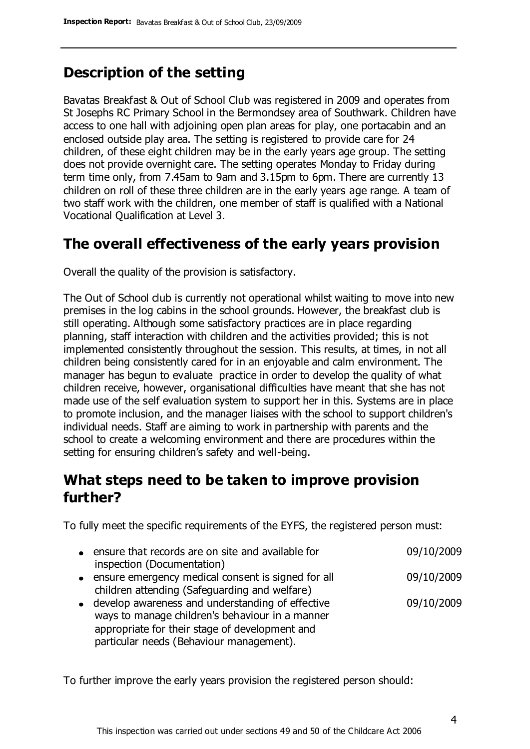### **Description of the setting**

Bavatas Breakfast & Out of School Club was registered in 2009 and operates from St Josephs RC Primary School in the Bermondsey area of Southwark. Children have access to one hall with adjoining open plan areas for play, one portacabin and an enclosed outside play area. The setting is registered to provide care for 24 children, of these eight children may be in the early years age group. The setting does not provide overnight care. The setting operates Monday to Friday during term time only, from 7.45am to 9am and 3.15pm to 6pm. There are currently 13 children on roll of these three children are in the early years age range. A team of two staff work with the children, one member of staff is qualified with a National Vocational Qualification at Level 3.

### **The overall effectiveness of the early years provision**

Overall the quality of the provision is satisfactory.

The Out of School club is currently not operational whilst waiting to move into new premises in the log cabins in the school grounds. However, the breakfast club is still operating. Although some satisfactory practices are in place regarding planning, staff interaction with children and the activities provided; this is not implemented consistently throughout the session. This results, at times, in not all children being consistently cared for in an enjoyable and calm environment. The manager has begun to evaluate practice in order to develop the quality of what children receive, however, organisational difficulties have meant that she has not made use of the self evaluation system to support her in this. Systems are in place to promote inclusion, and the manager liaises with the school to support children's individual needs. Staff are aiming to work in partnership with parents and the school to create a welcoming environment and there are procedures within the setting for ensuring children's safety and well-being.

### **What steps need to be taken to improve provision further?**

To fully meet the specific requirements of the EYFS, the registered person must:

| • ensure that records are on site and available for  | 09/10/2009 |
|------------------------------------------------------|------------|
| inspection (Documentation)                           |            |
| • ensure emergency medical consent is signed for all | 09/10/2009 |
| children attending (Safeguarding and welfare)        |            |
| • develop awareness and understanding of effective   | 09/10/2009 |
| ways to manage children's behaviour in a manner      |            |
| appropriate for their stage of development and       |            |
| particular needs (Behaviour management).             |            |

To further improve the early years provision the registered person should: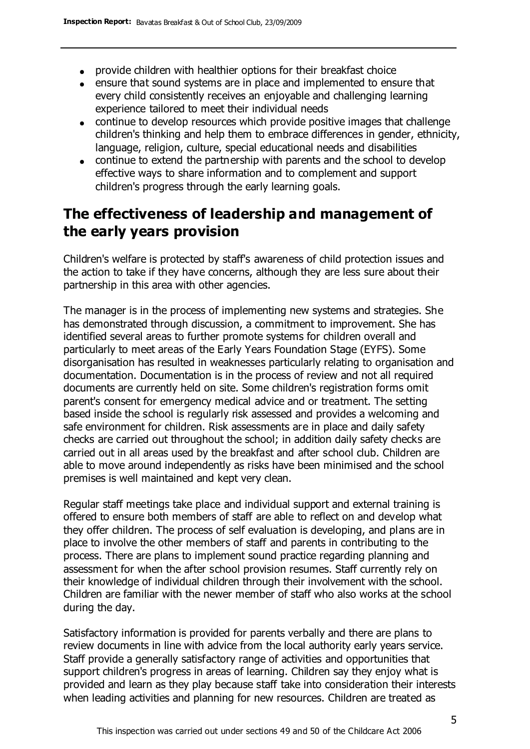- provide children with healthier options for their breakfast choice
- ensure that sound systems are in place and implemented to ensure that every child consistently receives an enjoyable and challenging learning experience tailored to meet their individual needs
- continue to develop resources which provide positive images that challenge children's thinking and help them to embrace differences in gender, ethnicity, language, religion, culture, special educational needs and disabilities
- continue to extend the partnership with parents and the school to develop effective ways to share information and to complement and support children's progress through the early learning goals.

### **The effectiveness of leadership and management of the early years provision**

Children's welfare is protected by staff's awareness of child protection issues and the action to take if they have concerns, although they are less sure about their partnership in this area with other agencies.

The manager is in the process of implementing new systems and strategies. She has demonstrated through discussion, a commitment to improvement. She has identified several areas to further promote systems for children overall and particularly to meet areas of the Early Years Foundation Stage (EYFS). Some disorganisation has resulted in weaknesses particularly relating to organisation and documentation. Documentation is in the process of review and not all required documents are currently held on site. Some children's registration forms omit parent's consent for emergency medical advice and or treatment. The setting based inside the school is regularly risk assessed and provides a welcoming and safe environment for children. Risk assessments are in place and daily safety checks are carried out throughout the school; in addition daily safety checks are carried out in all areas used by the breakfast and after school club. Children are able to move around independently as risks have been minimised and the school premises is well maintained and kept very clean.

Regular staff meetings take place and individual support and external training is offered to ensure both members of staff are able to reflect on and develop what they offer children. The process of self evaluation is developing, and plans are in place to involve the other members of staff and parents in contributing to the process. There are plans to implement sound practice regarding planning and assessment for when the after school provision resumes. Staff currently rely on their knowledge of individual children through their involvement with the school. Children are familiar with the newer member of staff who also works at the school during the day.

Satisfactory information is provided for parents verbally and there are plans to review documents in line with advice from the local authority early years service. Staff provide a generally satisfactory range of activities and opportunities that support children's progress in areas of learning. Children say they enjoy what is provided and learn as they play because staff take into consideration their interests when leading activities and planning for new resources. Children are treated as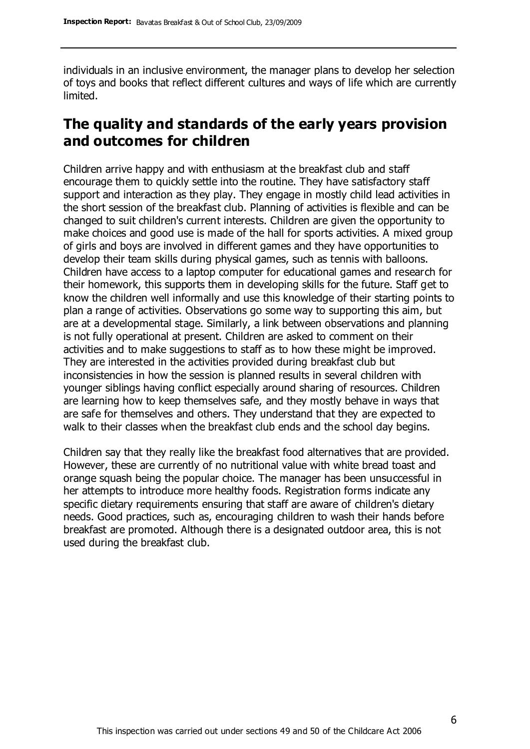individuals in an inclusive environment, the manager plans to develop her selection of toys and books that reflect different cultures and ways of life which are currently limited.

### **The quality and standards of the early years provision and outcomes for children**

Children arrive happy and with enthusiasm at the breakfast club and staff encourage them to quickly settle into the routine. They have satisfactory staff support and interaction as they play. They engage in mostly child lead activities in the short session of the breakfast club. Planning of activities is flexible and can be changed to suit children's current interests. Children are given the opportunity to make choices and good use is made of the hall for sports activities. A mixed group of girls and boys are involved in different games and they have opportunities to develop their team skills during physical games, such as tennis with balloons. Children have access to a laptop computer for educational games and research for their homework, this supports them in developing skills for the future. Staff get to know the children well informally and use this knowledge of their starting points to plan a range of activities. Observations go some way to supporting this aim, but are at a developmental stage. Similarly, a link between observations and planning is not fully operational at present. Children are asked to comment on their activities and to make suggestions to staff as to how these might be improved. They are interested in the activities provided during breakfast club but inconsistencies in how the session is planned results in several children with younger siblings having conflict especially around sharing of resources. Children are learning how to keep themselves safe, and they mostly behave in ways that are safe for themselves and others. They understand that they are expected to walk to their classes when the breakfast club ends and the school day begins.

Children say that they really like the breakfast food alternatives that are provided. However, these are currently of no nutritional value with white bread toast and orange squash being the popular choice. The manager has been unsuccessful in her attempts to introduce more healthy foods. Registration forms indicate any specific dietary requirements ensuring that staff are aware of children's dietary needs. Good practices, such as, encouraging children to wash their hands before breakfast are promoted. Although there is a designated outdoor area, this is not used during the breakfast club.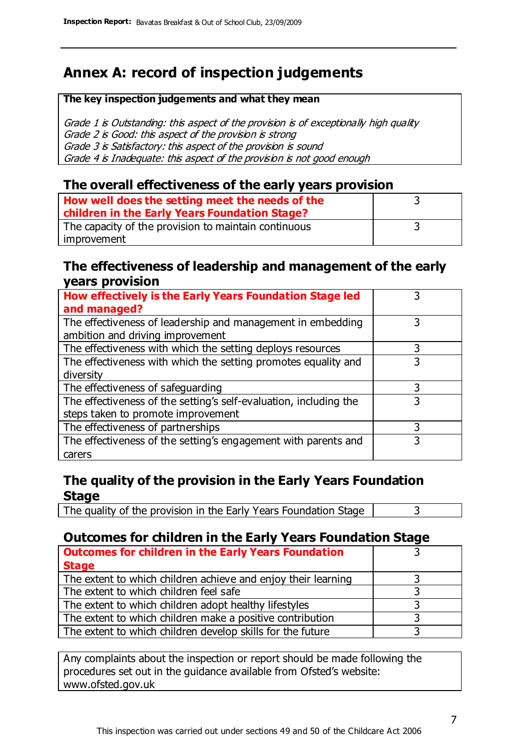### **Annex A: record of inspection judgements**

#### **The key inspection judgements and what they mean**

Grade 1 is Outstanding: this aspect of the provision is of exceptionally high quality Grade 2 is Good: this aspect of the provision is strong Grade 3 is Satisfactory: this aspect of the provision is sound Grade 4 is Inadequate: this aspect of the provision is not good enough

#### **The overall effectiveness of the early years provision**

| How well does the setting meet the needs of the<br>children in the Early Years Foundation Stage? |  |
|--------------------------------------------------------------------------------------------------|--|
| The capacity of the provision to maintain continuous                                             |  |
| improvement                                                                                      |  |

#### **The effectiveness of leadership and management of the early years provision**

| How effectively is the Early Years Foundation Stage led           |   |
|-------------------------------------------------------------------|---|
| and managed?                                                      |   |
| The effectiveness of leadership and management in embedding       | 3 |
| ambition and driving improvement                                  |   |
| The effectiveness with which the setting deploys resources        | 3 |
| The effectiveness with which the setting promotes equality and    |   |
| diversity                                                         |   |
| The effectiveness of safeguarding                                 | 3 |
| The effectiveness of the setting's self-evaluation, including the | 3 |
| steps taken to promote improvement                                |   |
| The effectiveness of partnerships                                 |   |
| The effectiveness of the setting's engagement with parents and    |   |
| carers                                                            |   |

#### **The quality of the provision in the Early Years Foundation Stage**

The quality of the provision in the Early Years Foundation Stage  $\vert$  3

#### **Outcomes for children in the Early Years Foundation Stage**

| <b>Outcomes for children in the Early Years Foundation</b>    |  |
|---------------------------------------------------------------|--|
| <b>Stage</b>                                                  |  |
| The extent to which children achieve and enjoy their learning |  |
| The extent to which children feel safe                        |  |
| The extent to which children adopt healthy lifestyles         |  |
| The extent to which children make a positive contribution     |  |
| The extent to which children develop skills for the future    |  |

Any complaints about the inspection or report should be made following the procedures set out in the guidance available from Ofsted's website: www.ofsted.gov.uk